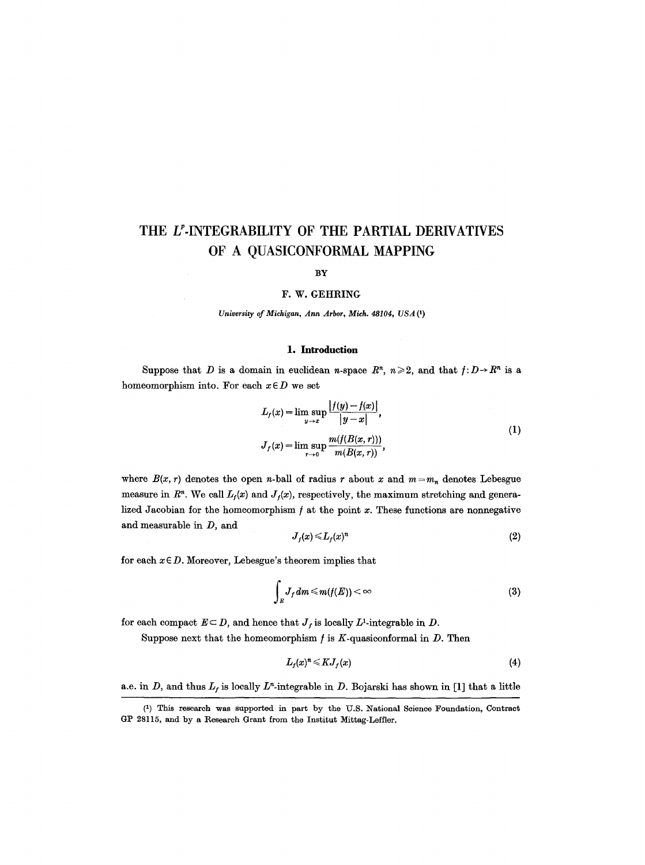# **THE LP-INTEGRABILITY OF THE PARTIAL DERIVATIVES OF A QUASICONFORMAL MAPPING**

#### **BY**

## F. W. GEHRING

*University of Michigan, Ann Arbor, Mich. 48104, USA (1)* 

## 1. **Introduction**

Suppose that D is a domain in euclidean *n*-space  $R^n$ ,  $n \ge 2$ , and that  $f: D \rightarrow R^n$  is a homeomorphism into. For each  $x \in D$  we set

$$
L_{f}(x) = \lim_{y \to x} \sup \frac{|f(y) - f(x)|}{|y - x|},
$$
  
\n
$$
J_{f}(x) = \lim_{r \to 0} \sup \frac{m(f(B(x, r)))}{m(B(x, r))},
$$
\n(1)

where  $B(x, r)$  denotes the open *n*-ball of radius *r* about x and  $m = m_n$  denotes Lebesgue measure in  $R<sup>n</sup>$ . We call  $L<sub>f</sub>(x)$  and  $J<sub>f</sub>(x)$ , respectively, the maximum stretching and generalized Jacobian for the homeomorphism  $f$  at the point  $x$ . These functions are nonnegative and measurable in D, and

$$
J_f(x) \leq L_f(x)^n \tag{2}
$$

for each  $x \in D$ . Moreover, Lebesgue's theorem implies that

$$
\int_E J_f dm \le m(f(E)) < \infty \tag{3}
$$

for each compact  $E \subseteq D$ , and hence that  $J_f$  is locally  $L^1$ -integrable in  $D$ .

Suppose next that the homeomorphism  $f$  is  $K$ -quasiconformal in  $D$ . Then

$$
L_f(x)^n \leq K J_f(x) \tag{4}
$$

a.e. in D, and thus  $L_f$  is locally  $L^r$ -integrable in D. Bojarski has shown in [1] that a little

<sup>(1)</sup> This research was supported in part by the U.S. National Science Foundation, Contract GP 28115, and by a Research Grant from the Institut Mittag-Leffler.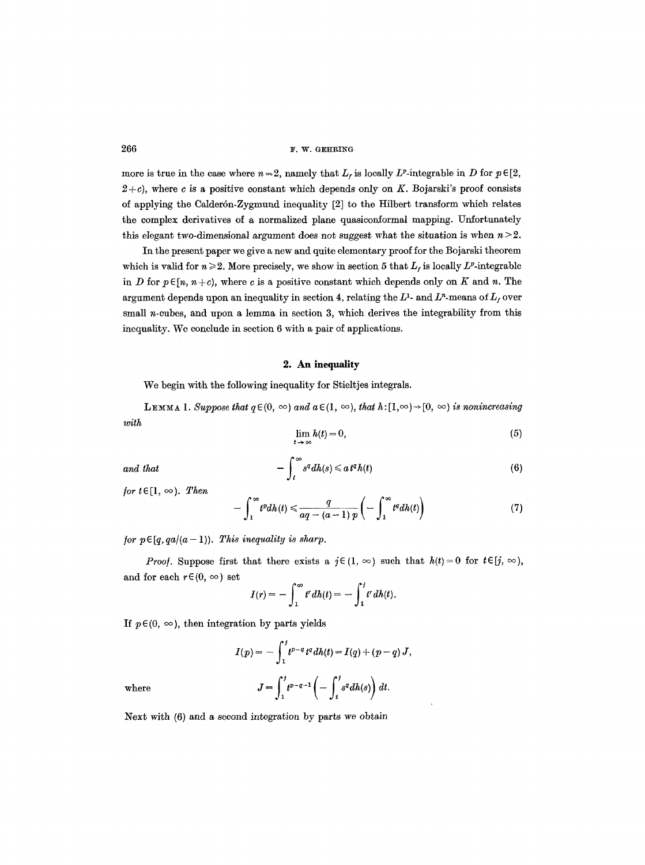$266$  **F. W. GEHRING** 

more is true in the case where  $n = 2$ , namely that  $L_f$  is locally  $L^p$ -integrable in D for  $p \in [2, 1]$  $2+c$ ), where c is a positive constant which depends only on K. Bojarski's proof consists of applying the Calderón-Zygmund inequality [2] to the Hilbert transform which relates the complex derivatives of a normalized plane quasiconformal mapping. Unfortunately this elegant two-dimensional argument does not suggest what the situation is when  $n > 2$ .

In the present paper we give a new and quite elementary proof for the Bojarski theorem which is valid for  $n \ge 2$ . More precisely, we show in section 5 that  $L_f$  is locally  $L^p$ -integrable in D for  $p \in [n, n + c)$ , where c is a positive constant which depends only on K and n. The argument depends upon an inequality in section 4, relating the  $L^1$ - and  $L^n$ -means of  $L_f$  over small *n*-cubes, and upon a lemma in section 3, which derives the integrability from this inequality. We conclude in section 6 with a pair of applications.

# 2. An inequality

We begin with the following inequality for Stieltjes integrals.

*with*  **LEMMA 1.** Suppose that  $q \in (0, \infty)$  and  $a \in (1, \infty)$ , that  $h:[1,\infty) \rightarrow [0, \infty)$  is nonincreasing

$$
\lim_{t \to \infty} h(t) = 0,\tag{5}
$$

and that 
$$
-\int_t^\infty s^q dh(s) \leq a t^q h(t) \qquad (6)
$$

*for*  $t \in [1, \infty)$ . *Then* 

$$
-\int_1^\infty t^p dh(t) \leq \frac{q}{aq - (a-1)p} \left(-\int_1^\infty t^q dh(t)\right) \tag{7}
$$

*for p* $\in$  [q, qa $/(a-1)$ ). This inequality is sharp.

*Proof.* Suppose first that there exists a  $j \in (1, \infty)$  such that  $h(t) = 0$  for  $t \in [j, \infty)$ , and for each  $r \in (0, \infty)$  set

$$
I(r)=-\int_1^\infty t^r dh(t)=-\int_1^t t^r dh(t).
$$

If  $p \in (0, \infty)$ , then integration by parts yields

$$
I(p) = -\int_1^j t^{p-q} t^q dh(t) = I(q) + (p-q) J,
$$

$$
J = \int_1^j t^{p-q-1} \left( -\int_t^j s^q dh(s) \right) dt.
$$

where

Next with (6) and a second integration by parts we obtain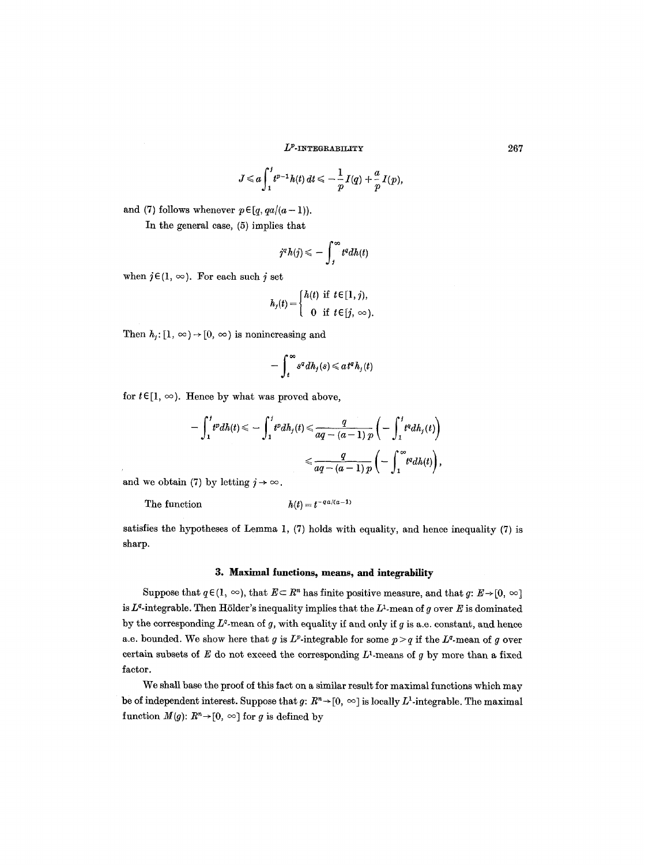$$
J\leqslant a\int_1^j t^{p-1}h(t)\,dt\leqslant -\frac{1}{p}I(q)+\frac{a}{p}I(p),
$$

and (7) follows whenever  $p \in [q, qa/(a-1))$ .

In the general case, (5) implies that

$$
j^a h(j) \leqslant -\int_j^{\infty} t^a dh(t)
$$

when  $j \in (1, \infty)$ . For each such j set

$$
h_j(t) = \begin{cases} h(t) & \text{if } t \in [1, j), \\ 0 & \text{if } t \in [j, \infty). \end{cases}
$$

Then  $h_i: [1, \infty) \rightarrow [0, \infty)$  is nonincreasing and

$$
-\int_t^\infty s^q\, dh_j(s)\leqslant at^q h_j(t)
$$

for  $t \in [1, \infty)$ . Hence by what was proved above,

$$
-\int_1^t t^p dh(t) \leq -\int_1^t t^p dh_j(t) \leq \frac{q}{aq - (a-1)p} \left( -\int_1^t t^q dh_j(t) \right)
$$
  

$$
\leq \frac{q}{aq - (a-1)p} \left( -\int_1^\infty t^q dh(t) \right),
$$

and we obtain (7) by letting  $j \rightarrow \infty$ .

The function  $h(t) = t^{-qa/(a-1)}$ 

satisfies the hypotheses of Lemma 1, (7) holds with equality, and hence inequality (7) is sharp.

# **3. Maximal functions, means, and integrability**

Suppose that  $q \in (1, \infty)$ , that  $E \subset \mathbb{R}^n$  has finite positive measure, and that  $q: E \to [0, \infty)$ is  $L^q$ -integrable. Then Hölder's inequality implies that the  $L^q$ -mean of g over E is dominated by the corresponding  $L^q$ -mean of g, with equality if and only if g is a.e. constant, and hence a.e. bounded. We show here that g is  $L^p$ -integrable for some  $p > q$  if the  $L^q$ -mean of g over certain subsets of  $E$  do not exceed the corresponding  $L^1$ -means of g by more than a fixed factor.

We shall base the proof of this fact on a similar result for maximal functions which may be of independent interest. Suppose that  $g: R^n \to [0, \infty]$  is locally  $L^1$ -integrable. The maximal function  $M(g)$ :  $R^n \rightarrow [0, \infty]$  for g is defined by

267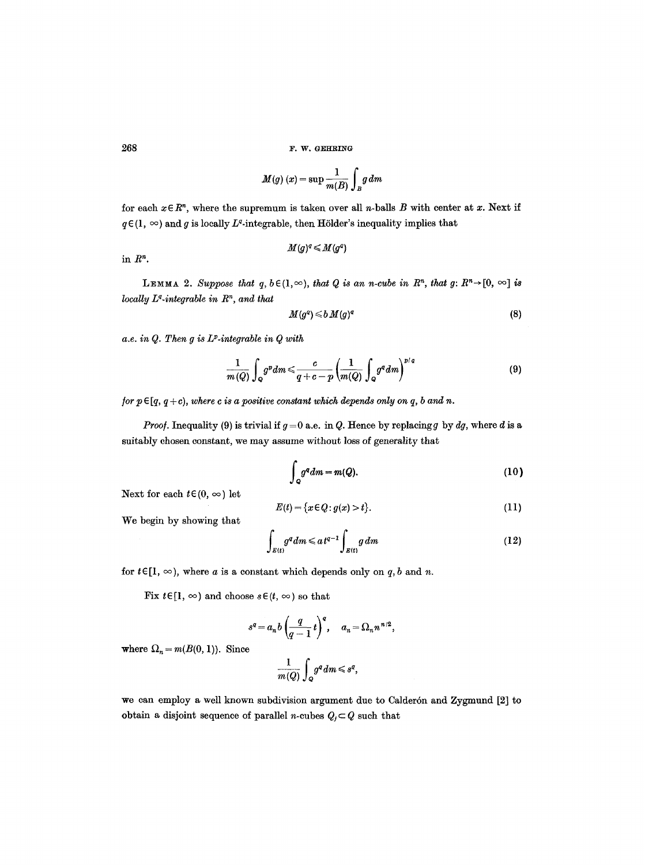$$
M(g)\left(x\right)=\sup\frac{1}{m(B)}\int_Bg\,dm
$$

for each  $x \in R^n$ , where the supremum is taken over all *n*-balls *B* with center at *x*. Next if  $q \in (1, \infty)$  and g is locally L<sup>q</sup>-integrable, then Hölder's inequality implies that

$$
M(g)^q\!\leqslant\! M(g^q)
$$

in  $R^n$ .

**LEMMA** 2. Suppose that  $q, b \in (1, \infty)$ , that Q is an n-cube in  $R^n$ , that  $g: R^n \rightarrow [0, \infty]$  is *locally L<sup>q</sup>-integrable in R<sup>n</sup>, and that* 

$$
M(g^q) \leqslant b \, M(g)^q \tag{8}
$$

*a.e. in Q. Then g is IF.integrable in Q with* 

$$
\frac{1}{m(Q)}\int_{Q}g^{p}dm \leqslant \frac{c}{q+c-p}\left(\frac{1}{m(Q)}\int_{Q}g^{q}dm\right)^{p/q}
$$
\n(9)

*for*  $p \in [q, q+c)$ *, where c is a positive constant which depends only on q, b and n.* 

*Proof.* Inequality (9) is trivial if  $g = 0$  a.e. in Q. Hence by replacing g by  $dg$ , where d is a suitably chosen constant, we may assume without loss of generality that

$$
\int_{Q} g^{q} dm = m(Q). \tag{10}
$$

Next for each  $t \in (0, \infty)$  let

$$
E(t) = \{x \in Q : g(x) > t\}.\tag{11}
$$

We begin by showing that

$$
\int_{E(t)} g^a dm \leq a t^{q-1} \int_{E(t)} g dm \tag{12}
$$

for  $t \in [1, \infty)$ , where a is a constant which depends only on q, b and n.

Fix  $t \in [1, \infty)$  and choose  $s \in (t, \infty)$  so that

$$
s^q = a_n b \left(\frac{q}{q-1} t\right)^q, \quad a_n = \Omega_n n^{n/2},
$$

where  $\Omega_n = m(B(0, 1))$ . Since

$$
\frac{1}{m(Q)}\int_{Q}g^{q}dm\leqslant s^{q},
$$

we can employ a well known subdivision argument due to Calderón and Zygmund [2] to obtain a disjoint sequence of parallel *n*-cubes  $Q_i \subset Q$  such that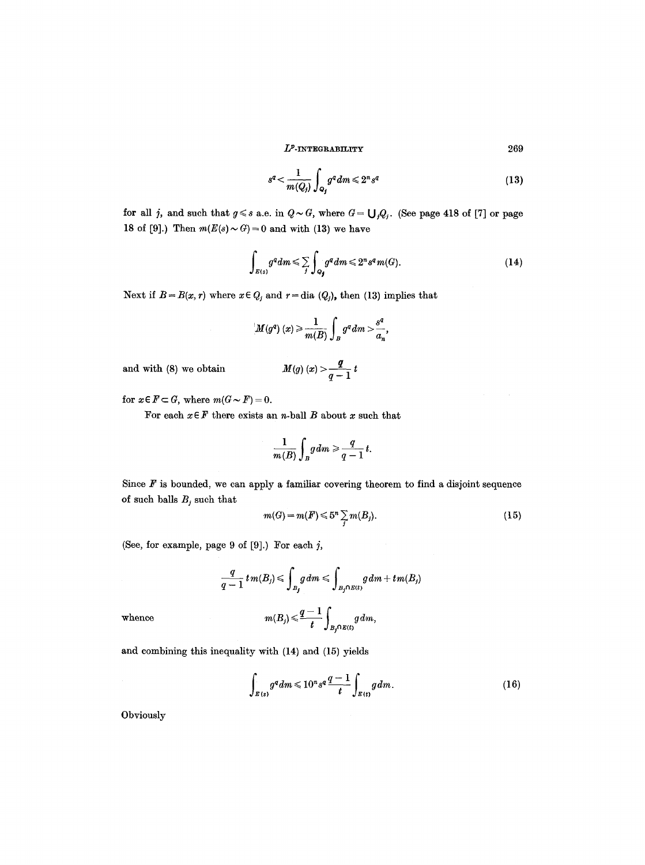$$
s^q < \frac{1}{m(Q_j)} \int_{Q_j} g^q \, dm \leq 2^n s^q \tag{13}
$$

for all *j*, and such that  $g \leq s$  a.e. in  $Q \sim G$ , where  $G = \bigcup_{j} Q_j$ . (See page 418 of [7] or page 18 of [9].) Then  $m(E(s) \sim G) = 0$  and with (13) we have

$$
\int_{E(s)} g^q dm \leq \sum_j \int_{Q_j} g^q dm \leq 2^n s^q m(G). \tag{14}
$$

Next if  $B = B(x, r)$  where  $x \in Q_j$  and  $r = \text{dia } (Q_j)$ , then (13) implies that

$$
M(g^q)(x) \geq \frac{1}{m(B)} \int_B g^q dm > \frac{s^q}{a_n},
$$

and with (8) we obtain  $\mathbf{M}$ 

$$
M(g)(x) > \frac{q}{q-1} t
$$

for  $x \in F \subset G$ , where  $m(G \sim F) = 0$ .

For each  $x \in F$  there exists an *n*-ball  $B$  about  $x$  such that

$$
\frac{1}{m(B)}\int_B g dm \geqslant \frac{q}{q-1} t.
$$

Since  $F$  is bounded, we can apply a familiar covering theorem to find a disjoint sequence of such balls  $B_j$  such that

$$
m(G) = m(F) \leqslant 5^n \sum_j m(B_j). \tag{15}
$$

(See, for example, page  $9$  of  $[9]$ .) For each  $j$ ,

$$
\frac{q}{q-1} \, t \, m(B_j) \leqslant \int_{B_j} g \, dm \leqslant \int_{B_j \cap E(t)} g \, dm + t \, m(B_j)
$$
\n
$$
m(B_j) \leqslant \frac{q-1}{t} \int_{B_j \cap E(t)} g \, dm,
$$

and combining this inequality with (14) and (15) yields

$$
\int_{E(s)} g^q dm \leqslant 10^n s^q \frac{q-1}{t} \int_{E(t)} g dm. \tag{16}
$$

Obviously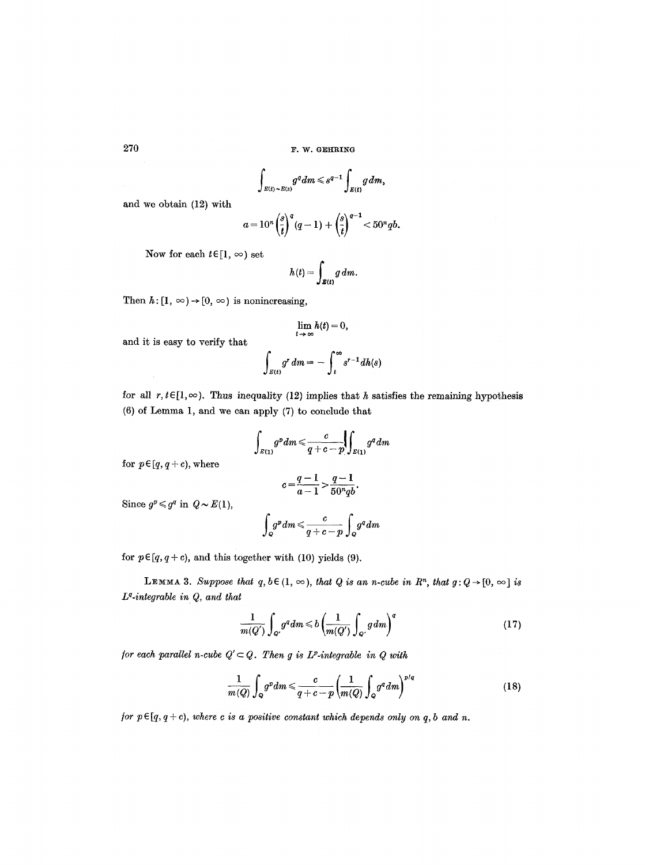$$
\int_{E(t)\sim E(s)} g^q dm \leqslant s^{q-1} \int_{E(t)} g dm,
$$

and we obtain (12) with

$$
a=10^n\left(\frac{s}{t}\right)^q(q-1)+\left(\frac{s}{t}\right)^{q-1}<50^nqb.
$$

Now for each  $t \in [1, \infty)$  set

and it is easy to verify that

$$
h(t) = \int_{\mathcal{B}(t)} g \, dm.
$$

Then  $h: [1, \infty) \rightarrow [0, \infty)$  is nonincreasing,

$$
\lim_{t \to \infty} h(t) = 0,
$$
  

$$
\int_{E(t)} g^r dm = - \int_t^{\infty} s^{r-1} dh(s)
$$

for all  $r, t \in [1, \infty)$ . Thus inequality (12) implies that h satisfies the remaining hypothesis (6) of Lemma 1, and we can apply (7) to conclude that

$$
\int_{E(1)} g^p dm \leqslant \frac{c}{q+c-p} \left( \int_{E(1)} g^q dm \right)
$$

for  $p \in [q, q + c)$ , where

$$
c = \frac{q-1}{a-1} > \frac{q-1}{50^n q b}.
$$

Since  $q^p \leqslant q^q$  in  $Q \sim E(1)$ ,

$$
\int_{Q} g^{p} dm \leqslant \frac{c}{q+c-p} \int_{Q} g^{q} dm
$$

for  $p \in [q, q+c)$ , and this together with (10) yields (9).

**LEMMA 3.** Suppose that  $q, b \in (1, \infty)$ , that Q is an n-cube in  $R^n$ , that  $g: Q \rightarrow [0, \infty]$  is *Lq.integrable in Q, and that* 

$$
\frac{1}{m(Q')} \int_{Q'} g^q dm \leq b \left( \frac{1}{m(Q')} \int_{Q'} g dm \right)^q \tag{17}
$$

*for each parallel n-cube*  $Q' \subset Q$ *. Then g is L<sup>p</sup>-integrable in Q with* 

$$
\frac{1}{m(Q)}\int_{Q}g^{p}dm \leqslant \frac{c}{q+c-p}\left(\frac{1}{m(Q)}\int_{Q}g^{q}dm\right)^{p/q}
$$
\n(18)

*for*  $p \in [q, q+c)$ *, where c is a positive constant which depends only on q, b and n.*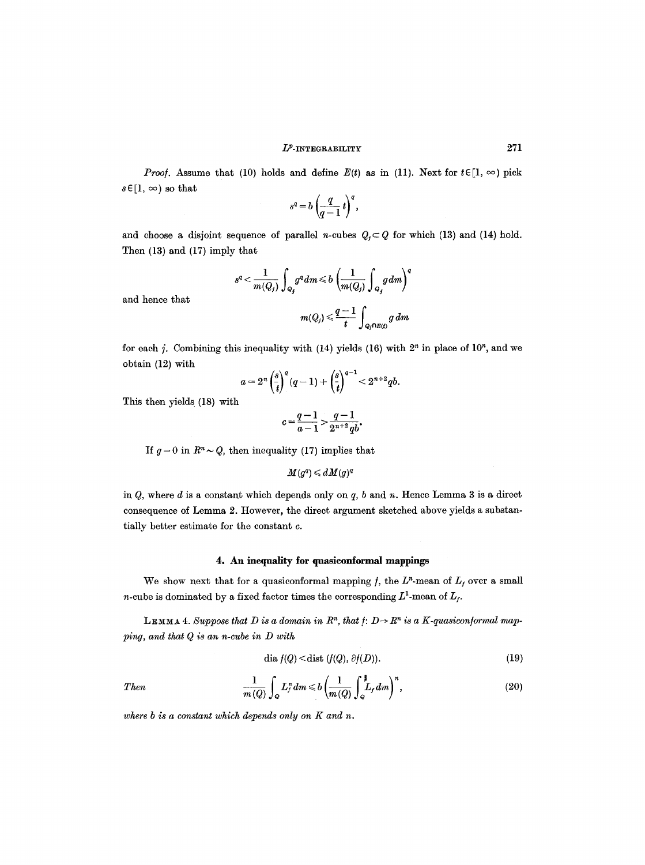*Proof.* Assume that (10) holds and define  $E(t)$  as in (11). Next for  $t \in [1, \infty)$  pick  $s \in [1, \infty)$  so that

$$
s^q = b \left( \frac{q}{q-1} t \right)^q,
$$

and choose a disjoint sequence of parallel n-cubes  $Q_i \subset Q$  for which (13) and (14) hold. Then (13) and (17) imply that

$$
s^q < \frac{1}{m(Q_j)} \int_{Q_j} g^q dm \leqslant b \left( \frac{1}{m(Q_j)} \int_{Q_j} g dm \right)^q
$$
  

$$
m(Q_j) \leqslant \frac{q-1}{t} \int_{Q_j \cap E(f)} g dm
$$

and hence that

Then

for each j. Combining this inequality with  $(14)$  yields  $(16)$  with  $2<sup>n</sup>$  in place of  $10<sup>n</sup>$ , and we obtain (12) with

$$
a = 2^{n} \left(\frac{s}{t}\right)^{q} (q-1) + \left(\frac{s}{t}\right)^{q-1} < 2^{n+2} q b.
$$

This then yields (18) with

$$
c = \frac{q-1}{a-1} > \frac{q-1}{2^{n+2}q b}.
$$

If  $g = 0$  in  $R^n \sim Q$ , then inequality (17) implies that

$$
M(g^q) \,{\leqslant}\, d\hspace{0.5pt} M(g)^q
$$

in  $Q$ , where  $d$  is a constant which depends only on  $q$ ,  $b$  and  $n$ . Hence Lemma 3 is a direct consequence of Lemma 2. However, the direct argument sketched above yields a substantially better estimate for the constant c.

# 4. An inequality **for qmasieontormal** mappings

We show next that for a quasiconformal mapping f, the  $L<sup>n</sup>$ -mean of  $L<sub>f</sub>$  over a small *n*-cube is dominated by a fixed factor times the corresponding  $L^1$ -mean of  $L_f$ .

LEMMA 4. Suppose that *D* is a domain in  $R^n$ , that  $f: D \rightarrow R^n$  is a *K*-quasiconformal map*ping, and that Q is an n-cube in D with* 

$$
\text{dia } f(Q) < \text{dist } (f(Q), \partial f(D)). \tag{19}
$$

$$
\frac{1}{m\left(Q\right)}\int_{\Omega}L_{f}^{n}dm\leqslant b\left(\frac{1}{m\left(Q\right)}\int_{Q}^{1}L_{f}dm\right)^{n},\tag{20}
$$

*where b is a constant which depends only on K and n.*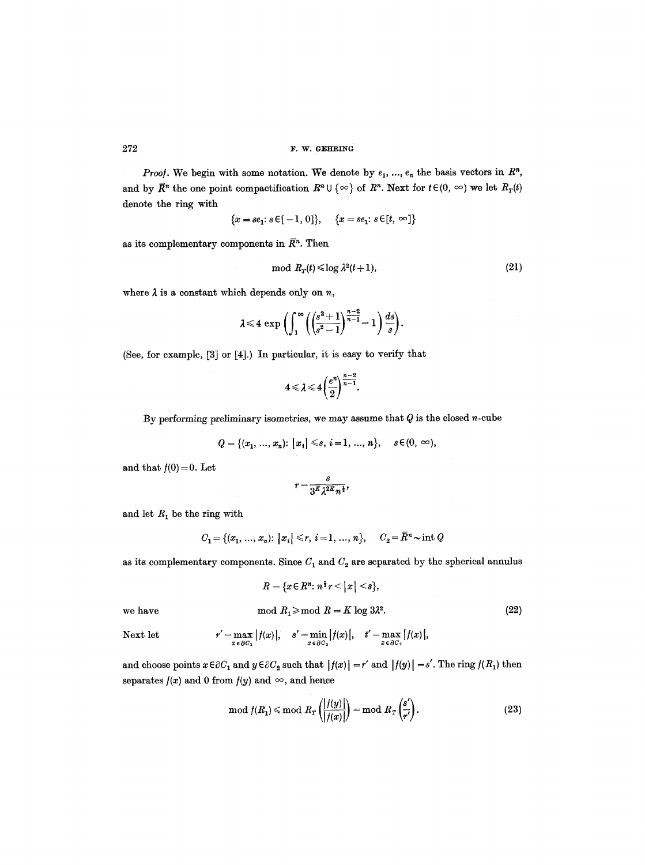*Proof.* We begin with some notation. We denote by  $e_1$ , ...,  $e_n$  the basis vectors in  $\mathbb{R}^n$ , and by  $\overline{R}^n$  the one point compactification  $R^n \cup \{\infty\}$  of  $R^n$ . Next for  $t \in (0, \infty)$  we let  $R_T(t)$ denote the ring with

$$
\{x=se_1; \, s\!\in\![-1,0]\},\quad \ \{x=se_1; \, s\!\in\![t,\,\infty]\}
$$

as its complementary components in  $\bar{R}^n$ . Then

$$
\mod R_T(t) \leq \log \lambda^2(t+1),\tag{21}
$$

where  $\lambda$  is a constant which depends only on  $n$ ,

$$
\lambda \leq 4 \exp \left( \int_1^{\infty} \left( \left( \frac{s^2+1}{s^2-1} \right)^{\frac{n-2}{n-1}} - 1 \right) \frac{ds}{s} \right).
$$

(See, for example, [3] or [4].) In particular, it is easy to verify that

$$
4\leqslant \lambda \leqslant 4 \bigg(\frac{e^n}{2}\bigg)^{\frac{n-2}{n-1}}.
$$

By performing preliminary isometries, we may assume that  $Q$  is the closed n-cube

$$
Q = \{(x_1, ..., x_n): |x_i| \leq s, i = 1, ..., n\}, \quad s \in (0, \infty),
$$

and that  $f(0)=0$ . Let

$$
r=\frac{s}{3^K\lambda^{2K}n^{\frac{1}{2}}},
$$

and let  $R_1$  be the ring with

$$
C_1 = \{(x_1, ..., x_n): |x_i| \le r, i = 1, ..., n\}, \quad C_2 = \overline{R}^n \sim \text{int } Q
$$

as its complementary components. Since  $C_1$  and  $C_2$  are separated by the spherical annulus

$$
R = \{x \in R^n : n^{\frac{1}{2}} r < |x| < s\},\
$$
\nwe have

\n
$$
\text{mod } R_1 \geq \text{mod } R = K \log 3\lambda^2.
$$
\n(22)

Next let 
$$
r' = \max_{x \in \partial C_1} |f(x)|
$$
,  $s' = \min_{x \in \partial C_2} |f(x)|$ ,  $t' = \max_{x \in \partial C_2} |f(x)|$ ,

and choose points  $x \in \partial C_1$  and  $y \in \partial C_2$  such that  $|f(x)| = r'$  and  $|f(y)| = s'$ . The ring  $f(R_1)$  then separates  $f(x)$  and 0 from  $f(y)$  and  $\infty$ , and hence

$$
\mod f(R_1) \leq \mod R_T\left(\frac{|f(y)|}{|f(x)|}\right) = \mod R_T\left(\frac{s'}{r'}\right). \tag{23}
$$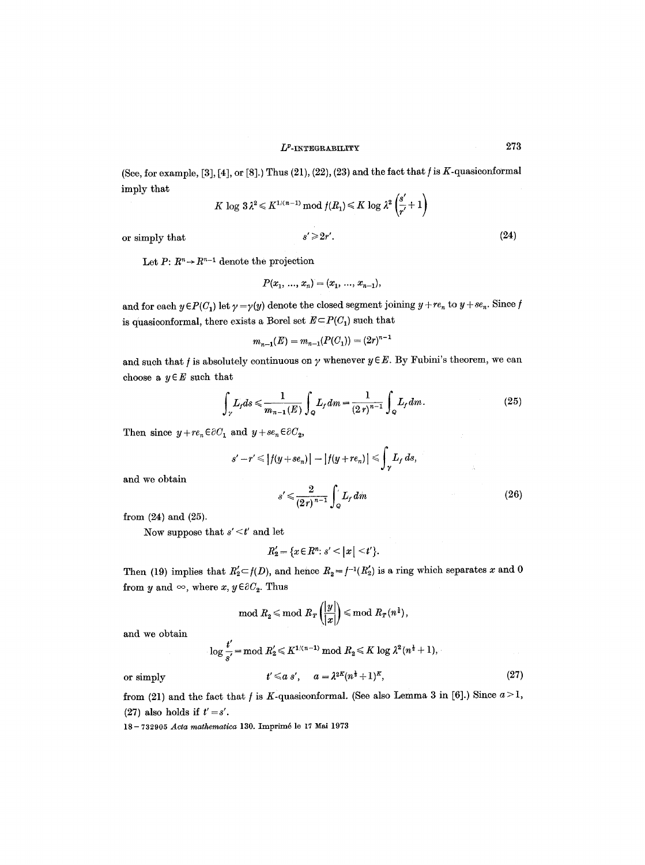(See, for example, [3], [4], or [8].) Thus  $(21)$ ,  $(22)$ ,  $(23)$  and the fact that  $f$  is  $K$ -quasiconformal imply that  $\overline{1}$ 

$$
K \log 3\lambda^2 \leq K^{1/(n-1)} \bmod f(R_1) \leq K \log \lambda^2 \left( \frac{s'}{r'} + 1 \right)
$$

or simply that 
$$
s' \geq 2r'
$$
. (24)

Let  $P: R^n \to R^{n-1}$  denote the projection

$$
P(x_1, ..., x_n) = (x_1, ..., x_{n-1}),
$$

and for each  $y \in P(C_1)$  let  $\gamma = \gamma(y)$  denote the closed segment joining  $y + re_n$  to  $y + se_n$ . Since f is quasiconformal, there exists a Borel set  $E \subset P(C_1)$  such that

$$
m_{n-1}(E) = m_{n-1}(P(C_1)) = (2r)^{n-1}
$$

and such that  $f$  is absolutely continuous on  $\gamma$  whenever  $y \in E$ . By Fubini's theorem, we can choose a  $y \in E$  such that

$$
\int_{\gamma} L_f ds \le \frac{1}{m_{n-1}(E)} \int_{Q} L_f dm = \frac{1}{(2\,r)^{n-1}} \int_{Q} L_f dm. \tag{25}
$$

Then since  $y + re_n \in \partial C_1$  and  $y + se_n \in \partial C_2$ ,

$$
s'-r' \le |f(y+se_n)| - |f(y+re_n)| \le \int_{\gamma} L_f ds,
$$
  

$$
s' \le \frac{2}{(2\pi)^{n-1}} \int_{-\infty}^{\infty} L_f dm
$$
 (26)

and we obtain

from (24) and (25).

Now suppose that *s' < t'* and let

$$
R_2' = \{x \in R^n : s' < |x| < t'\}.
$$

Then (19) implies that  $R_2' \subset f(D)$ , and hence  $R_2 = f^{-1}(R_2')$  is a ring which separates x and 0 from y and  $\infty$ , where x,  $y \in \partial C_2$ . Thus

$$
\mod R_2 \leqslant \text{mod} \ R_T\left(\frac{|y|}{|x|}\right) \leqslant \text{mod} \ R_T(n^{\frac{1}{2}}),
$$

and we obtain

$$
\log\frac{t'}{s'}\!=\!\mathrm{mod}\; R_2'\!\leqslant\! K^{1/(n-1)}\;\mathrm{mod}\; R_2\!\leqslant\! K\log\lambda^2(n^{\frac14}+1),
$$

or simply

$$
t' \leq a s', \quad a = \lambda^{2K} (n^{\frac{1}{2}} + 1)^K,
$$
\n
$$
(27)
$$

from (21) and the fact that  $f$  is  $K$ -quasiconformal. (See also Lemma 3 in [6].) Since  $a > 1$ , (27) also holds if  $t' = s'$ .

18- 732905 *Acta mathematica* 130. Imprim6 le 17 Mai 1973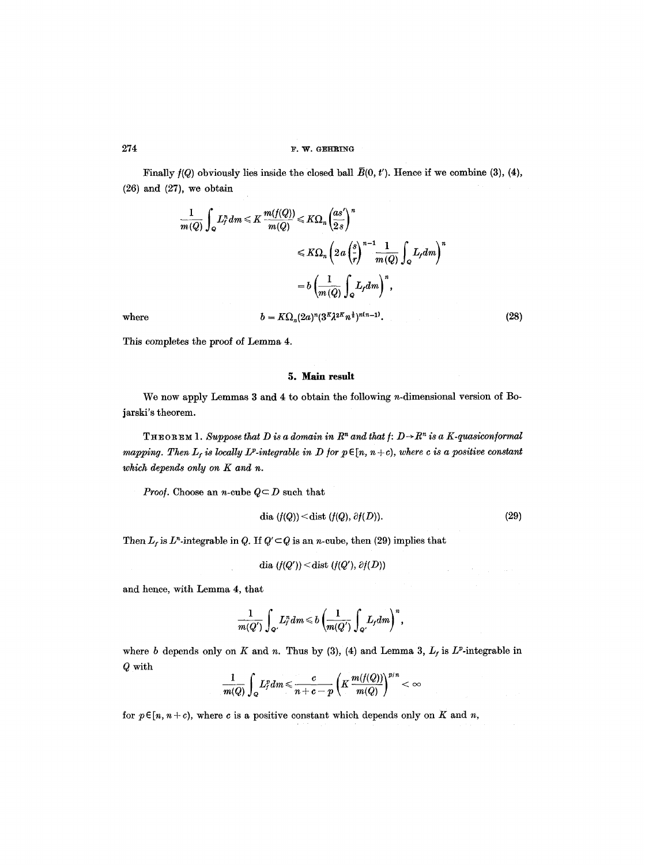Finally  $f(Q)$  obviously lies inside the closed ball  $\bar{B}(0, t')$ . Hence if we combine (3), (4),  $(26)$  and  $(27)$ , we obtain

$$
\frac{1}{m(Q)} \int_{Q} L_f^n dm \leq K \frac{m(f(Q))}{m(Q)} \leq K \Omega_n \left(\frac{as'}{2s}\right)^n
$$
  

$$
\leq K \Omega_n \left(2a\left(\frac{s}{r}\right)^{n-1} \frac{1}{m(Q)} \int_{Q} L_f dm\right)^n
$$
  

$$
= b \left(\frac{1}{m(Q)} \int_{Q} L_f dm\right)^n,
$$
  
where  

$$
b = K \Omega_n (2a)^n (3^K \lambda^{2K} n^{\frac{1}{2}})^{n(n-1)}.
$$
 (28)

This completes the proof of Lemma 4.

# 5. Main result

We now apply Lemmas 3 and 4 to obtain the following *n*-dimensional version of Bojarski's theorem.

THEOREM 1. Suppose that D is a domain in  $R^n$  and that  $f: D \rightarrow R^n$  is a K-quasiconformal *mapping. Then*  $L_f$  *is locally*  $L^p$ *-integrable in D for*  $p \in [n, n+c)$ *, where c is a positive constant which depends only on K and n.* 

*Proof.* Choose an *n*-cube  $Q \subseteq D$  such that

 $\mathcal{L}^{\mathcal{L}}$ 

$$
\text{dia }(f(Q)) < \text{dist }(f(Q), \partial f(D)). \tag{29}
$$

÷.

Then  $L_f$  is  $L^n$ -integrable in Q. If  $Q' \subset Q$  is an n-cube, then (29) implies that

dia 
$$
(f(Q')) < \text{dist } (f(Q'), \partial f(D))
$$

and hence, with Lemma 4, that

$$
\frac{1}{m(Q')}\int_{Q'} L_f^n dm \!\leqslant\! b\left(\!\frac{1}{m(Q')}\int_{Q'}\!L_f dm\!\right)^n,
$$

where b depends only on K and n. Thus by (3), (4) and Lemma 3,  $L_f$  is  $L^p$ -integrable in Q with

$$
\frac{1}{m(Q)}\int_{Q} L^{p}_{f} dm \! \leqslant \! \frac{c}{n+c-p} \left( K \frac{m(f(Q))}{m(Q)} \right)^{p/n} < \infty
$$

for  $p \in [n, n+c)$ , where c is a positive constant which depends only on K and n,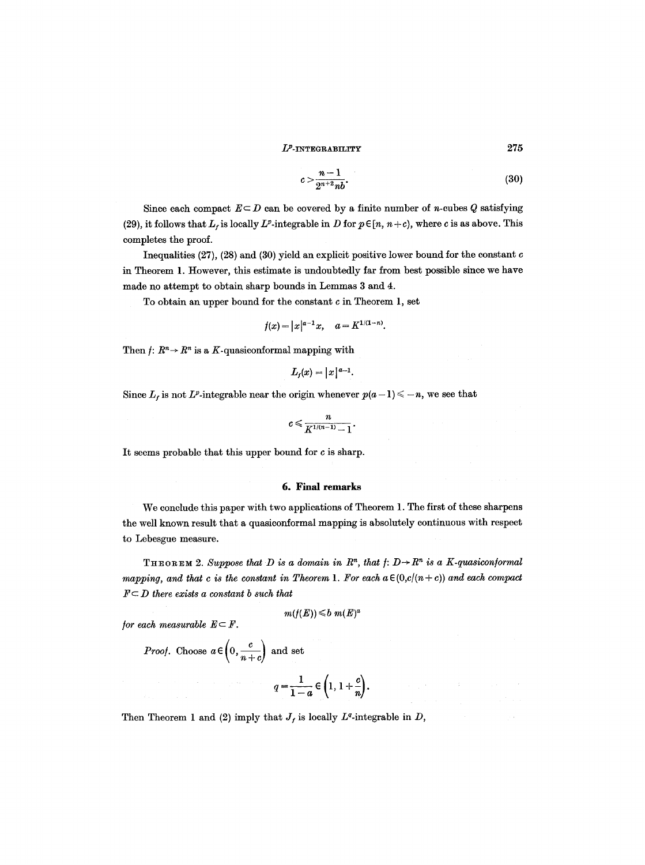$$
c > \frac{n-1}{2^{n+2}nb}.\tag{30}
$$

Since each compact  $E \subseteq D$  can be covered by a finite number of *n*-cubes Q satisfying (29), it follows that  $L_f$  is locally  $L^p$ -integrable in D for  $p \in [n, n+c)$ , where c is as above. This completes the proof.

Inequalities (27), (28) and (30) yield an explicit positive lower bound for the constant  $c$ in Theorem 1. However, this estimate is undoubtedly far from best possible since we have made no attempt to obtain sharp bounds in Lemmas 3 and 4.

To obtain an upper bound for the constant c in Theorem 1, set

$$
f(x) = |x|^{a-1}x, \quad a = K^{1/(1-n)}.
$$

Then  $f: R^n \to R^n$  is a K-quasiconformal mapping with

$$
L_f(x) = |x|^{a-1}.
$$

Since  $L_f$  is not  $L^p$ -integrable near the origin whenever  $p(a - 1) \leq -n$ , we see that

$$
c\leqslant \frac{n}{K^{1/(n-1)}-1}.
$$

It seems probable that this upper bound for c is sharp.

# **6. Final remarks**

We conclude this paper with two applications of Theorem 1. The first of these sharpens the well known result that a quasiconformal mapping is absolutely continuous with respect to Lebesgue measure.

THEOREM 2. Suppose that D is a domain in  $R<sup>n</sup>$ , that  $f: D \rightarrow R<sup>n</sup>$  is a K-quasiconformal *mapping, and that c is the constant in Theorem 1. For each a* $\in (0,c/(n+c))$  and each compact  $F \subseteq D$  there exists a constant b such that

$$
m(f(E)) \leqslant b \ m(E)^a
$$

*for each measurable*  $E \subseteq F$ *.* 

 $\left(0, \frac{c}{c} \right)$  and set

$$
q=\frac{1}{1-a}\in\left(1,1+\frac{c}{n}\right).
$$

Then Theorem 1 and (2) imply that  $J_f$  is locally  $L^q$ -integrable in D,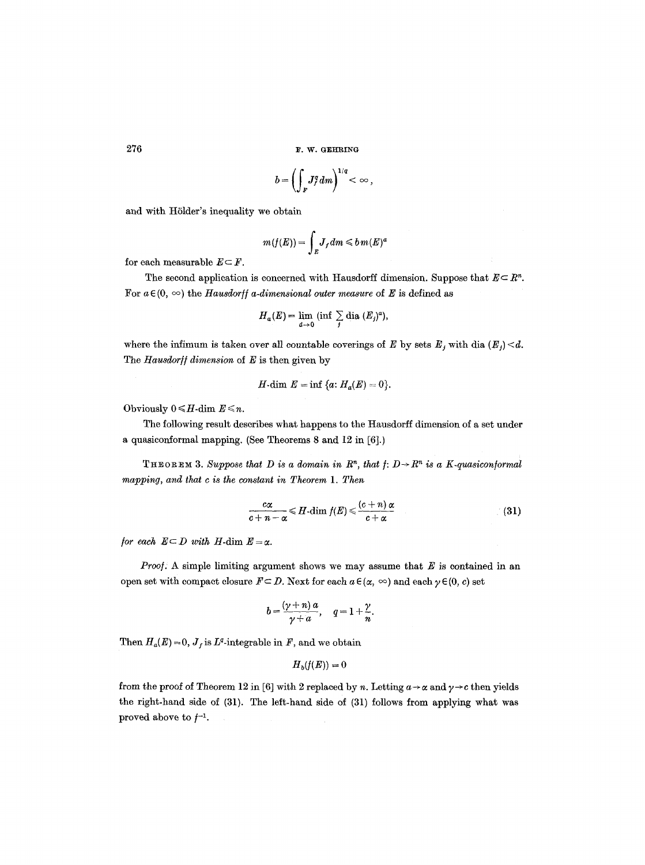$276$  **F. W. GEHRING** 

$$
b=\left(\int_F J_f^q dm\right)^{1/q}<\infty,
$$

and with Hölder's inequality we obtain

$$
m(f(E))=\int_{E}J_{f}dm\leqslant b m(E)^{a}
$$

for each measurable  $E \subset F$ .

The second application is concerned with Hausdorff dimension. Suppose that  $E \subseteq R^n$ . For  $a \in (0, \infty)$  the *Hausdorff a-dimensional outer measure* of E is defined as

$$
H_a(E) = \lim_{d\to 0} (\inf \sum_j \text{dia } (E_j)^a),
$$

where the infimum is taken over all countable coverings of E by sets  $E_j$  with dia  $(E_j) < d$ . The *Hausdorff dimension* of E is then given by

$$
H\text{-dim }E=\inf\{a\colon H_a(E)=0\}.
$$

Obviously  $0 \leq H$ -dim  $E \leq n$ .

The following result describes what happens to the Hausdorff dimension of a set under a quasiconformal mapping. (See Theorems 8 and 12 in [6].)

THEOREM 3. Suppose that D is a domain in  $R^n$ , that  $f: D \rightarrow R^n$  is a K-quasiconformal *mapping, and that c is the constant in Theorem 1. Then* 

$$
\frac{c\alpha}{c+n-\alpha} \leqslant H\text{-dim } f(E) \leqslant \frac{(c+n)\alpha}{c+\alpha} \tag{31}
$$

*for each*  $E \subseteq D$  *with*  $H$ -dim  $E = \alpha$ .

*Proof:* A simple limiting argument shows we may assume that E is contained in an open set with compact closure  $F \subseteq D$ . Next for each  $a \in (\alpha, \infty)$  and each  $\gamma \in (0, c)$  set

$$
b=\frac{(\gamma+n)\,a}{\gamma+a},\quad q=1+\frac{\gamma}{n}.
$$

Then  $H_a(E) \approx 0$ ,  $J_f$  is  $L^q$ -integrable in F, and we obtain

$$
H_{b}(f(E))=0
$$

from the proof of Theorem 12 in [6] with 2 replaced by n. Letting  $a \rightarrow \alpha$  and  $\gamma \rightarrow c$  then yields the right-hand side of (31). The left-hand side of (31) follows from applying what was proved above to  $f^{-1}$ .